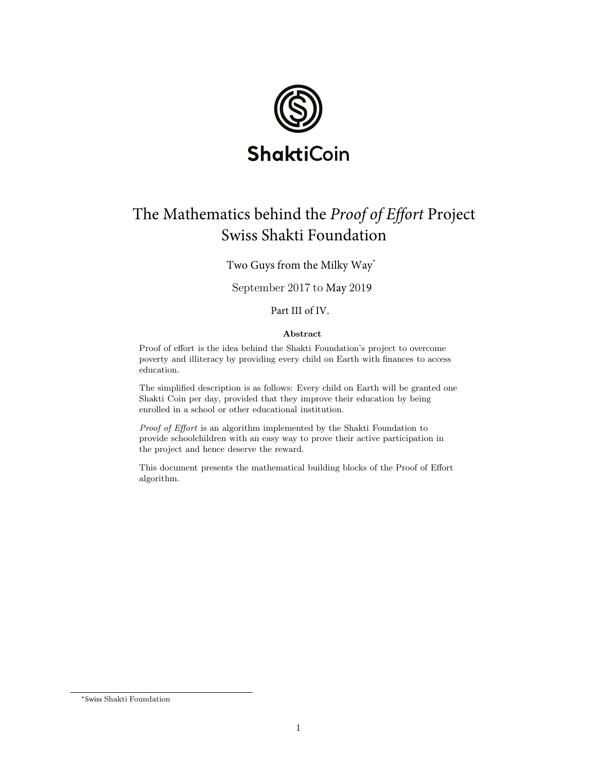

# The Mathematics behind the Proof of Effort Project Swiss Shakti Foundation

Two Guys from the Milky Way<sup>\*</sup>

September 2017 to May 2019

Part III of IV.

#### Abstract

Proof of effort is the idea behind the Shakti Foundation's project to overcome poverty and illiteracy by providing every child on Earth with finances to access education.

The simplified description is as follows: Every child on Earth will be granted one Shakti Coin per day, provided that they improve their education by being enrolled in a school or other educational institution.

Proof of Effort is an algorithm implemented by the Shakti Foundation to provide schoolchildren with an easy way to prove their active participation in the project and hence deserve the reward.

This document presents the mathematical building blocks of the Proof of Effort algorithm.

<sup>∗</sup>4XJTTShakti Foundation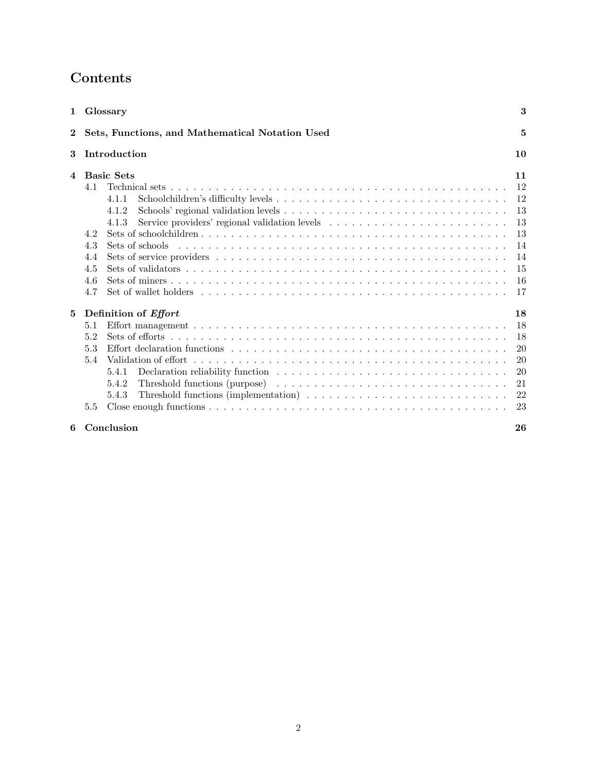# Contents

|          | 1 Glossary                                                                                                                                                                                                                           | 3                                                              |  |
|----------|--------------------------------------------------------------------------------------------------------------------------------------------------------------------------------------------------------------------------------------|----------------------------------------------------------------|--|
| $\bf{2}$ | Sets, Functions, and Mathematical Notation Used<br>5                                                                                                                                                                                 |                                                                |  |
| 3        | Introduction<br>10                                                                                                                                                                                                                   |                                                                |  |
| 4        | <b>Basic Sets</b><br>4.1<br>4.1.1<br>4.1.2<br>4.1.3<br>4.2<br>4.3<br>4.4<br>4.5<br>4.6<br>Set of wallet holders $\dots \dots \dots \dots \dots \dots \dots \dots \dots \dots \dots \dots \dots \dots \dots \dots \dots \dots$<br>4.7 | 11<br>12<br>12<br>13<br>13<br>13<br>14<br>14<br>15<br>16<br>17 |  |
| 5        | Definition of <i>Effort</i><br>5.1<br>5.2<br>5.3<br>5.4<br>5.4.1<br>5.4.2<br>Threshold functions (implementation) $\ldots \ldots \ldots \ldots \ldots \ldots \ldots \ldots \ldots$<br>5.4.3<br>5.5                                   | 18<br>18<br>18<br>20<br>20<br>20<br>21<br>22<br>23             |  |
| 6        | Conclusion                                                                                                                                                                                                                           | 26                                                             |  |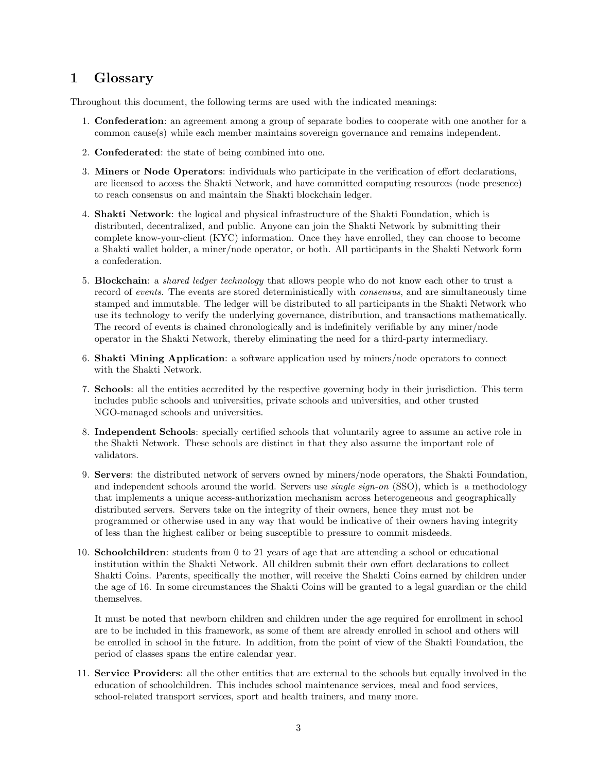# 1 Glossary

Throughout this document, the following terms are used with the indicated meanings:

- 1. Confederation: an agreement among a group of separate bodies to cooperate with one another for a common cause(s) while each member maintains sovereign governance and remains independent.
- 2. Confederated: the state of being combined into one.
- 3. Miners or Node Operators: individuals who participate in the verification of effort declarations, are licensed to access the Shakti Network, and have committed computing resources (node presence) to reach consensus on and maintain the Shakti blockchain ledger.
- 4. Shakti Network: the logical and physical infrastructure of the Shakti Foundation, which is distributed, decentralized, and public. Anyone can join the Shakti Network by submitting their complete know-your-client (KYC) information. Once they have enrolled, they can choose to become a Shakti wallet holder, a miner/node operator, or both. All participants in the Shakti Network form a confederation.
- 5. Blockchain: a shared ledger technology that allows people who do not know each other to trust a record of events. The events are stored deterministically with consensus, and are simultaneously time stamped and immutable. The ledger will be distributed to all participants in the Shakti Network who use its technology to verify the underlying governance, distribution, and transactions mathematically. The record of events is chained chronologically and is indefinitely verifiable by any miner/node operator in the Shakti Network, thereby eliminating the need for a third-party intermediary.
- 6. Shakti Mining Application: a software application used by miners/node operators to connect with the Shakti Network.
- 7. Schools: all the entities accredited by the respective governing body in their jurisdiction. This term includes public schools and universities, private schools and universities, and other trusted NGO-managed schools and universities.
- 8. Independent Schools: specially certified schools that voluntarily agree to assume an active role in the Shakti Network. These schools are distinct in that they also assume the important role of validators.
- 9. Servers: the distributed network of servers owned by miners/node operators, the Shakti Foundation, and independent schools around the world. Servers use *single sign-on* (SSO), which is a methodology that implements a unique access-authorization mechanism across heterogeneous and geographically distributed servers. Servers take on the integrity of their owners, hence they must not be programmed or otherwise used in any way that would be indicative of their owners having integrity of less than the highest caliber or being susceptible to pressure to commit misdeeds.
- 10. Schoolchildren: students from 0 to 21 years of age that are attending a school or educational institution within the Shakti Network. All children submit their own effort declarations to collect Shakti Coins. Parents, specifically the mother, will receive the Shakti Coins earned by children under the age of 16. In some circumstances the Shakti Coins will be granted to a legal guardian or the child themselves.

It must be noted that newborn children and children under the age required for enrollment in school are to be included in this framework, as some of them are already enrolled in school and others will be enrolled in school in the future. In addition, from the point of view of the Shakti Foundation, the period of classes spans the entire calendar year.

11. Service Providers: all the other entities that are external to the schools but equally involved in the education of schoolchildren. This includes school maintenance services, meal and food services, school-related transport services, sport and health trainers, and many more.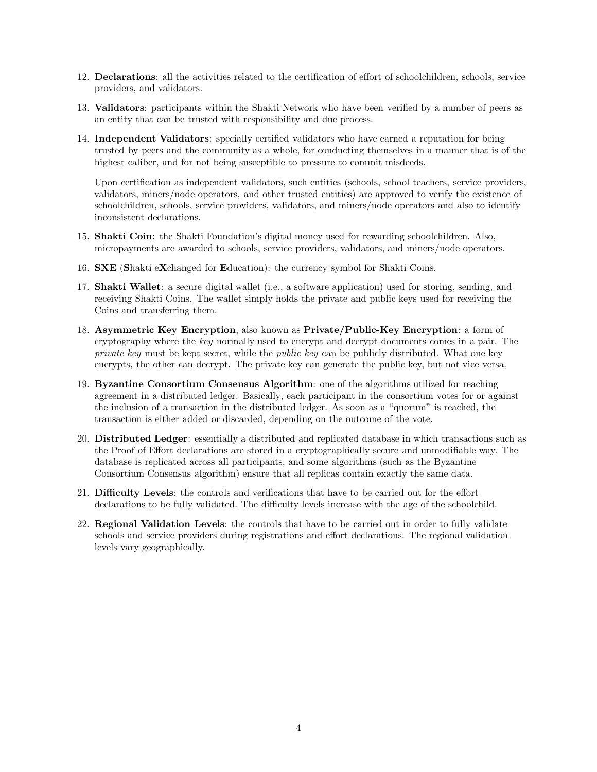- 12. Declarations: all the activities related to the certification of effort of schoolchildren, schools, service providers, and validators.
- 13. Validators: participants within the Shakti Network who have been verified by a number of peers as an entity that can be trusted with responsibility and due process.
- 14. Independent Validators: specially certified validators who have earned a reputation for being trusted by peers and the community as a whole, for conducting themselves in a manner that is of the highest caliber, and for not being susceptible to pressure to commit misdeeds.

Upon certification as independent validators, such entities (schools, school teachers, service providers, validators, miners/node operators, and other trusted entities) are approved to verify the existence of schoolchildren, schools, service providers, validators, and miners/node operators and also to identify inconsistent declarations.

- 15. Shakti Coin: the Shakti Foundation's digital money used for rewarding schoolchildren. Also, micropayments are awarded to schools, service providers, validators, and miners/node operators.
- 16. SXE (Shakti eXchanged for Education): the currency symbol for Shakti Coins.
- 17. Shakti Wallet: a secure digital wallet (i.e., a software application) used for storing, sending, and receiving Shakti Coins. The wallet simply holds the private and public keys used for receiving the Coins and transferring them.
- 18. Asymmetric Key Encryption, also known as Private/Public-Key Encryption: a form of cryptography where the key normally used to encrypt and decrypt documents comes in a pair. The private key must be kept secret, while the *public key* can be publicly distributed. What one key encrypts, the other can decrypt. The private key can generate the public key, but not vice versa.
- 19. Byzantine Consortium Consensus Algorithm: one of the algorithms utilized for reaching agreement in a distributed ledger. Basically, each participant in the consortium votes for or against the inclusion of a transaction in the distributed ledger. As soon as a "quorum" is reached, the transaction is either added or discarded, depending on the outcome of the vote.
- 20. Distributed Ledger: essentially a distributed and replicated database in which transactions such as the Proof of Effort declarations are stored in a cryptographically secure and unmodifiable way. The database is replicated across all participants, and some algorithms (such as the Byzantine Consortium Consensus algorithm) ensure that all replicas contain exactly the same data.
- 21. Difficulty Levels: the controls and verifications that have to be carried out for the effort declarations to be fully validated. The difficulty levels increase with the age of the schoolchild.
- 22. Regional Validation Levels: the controls that have to be carried out in order to fully validate schools and service providers during registrations and effort declarations. The regional validation levels vary geographically.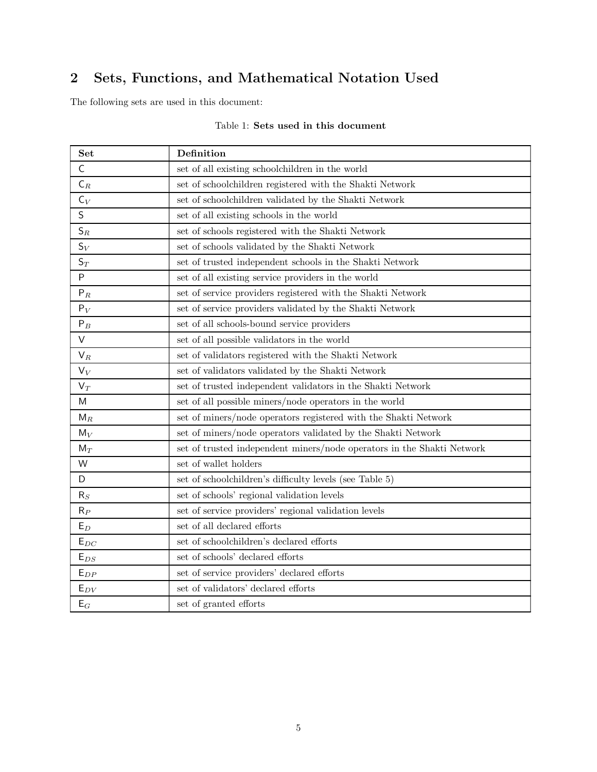# 2 Sets, Functions, and Mathematical Notation Used

The following sets are used in this document:

| Set                        | Definition                                                             |  |  |  |
|----------------------------|------------------------------------------------------------------------|--|--|--|
| $\mathsf C$                | set of all existing schoolchildren in the world                        |  |  |  |
| $\mathsf{C}_R$             | set of schoolchildren registered with the Shakti Network               |  |  |  |
| $C_V$                      | set of schoolchildren validated by the Shakti Network                  |  |  |  |
| $\sf S$                    | set of all existing schools in the world                               |  |  |  |
| $S_R$                      | set of schools registered with the Shakti Network                      |  |  |  |
| $S_V$                      | set of schools validated by the Shakti Network                         |  |  |  |
| $S_T$                      | set of trusted independent schools in the Shakti Network               |  |  |  |
| $\mathsf{P}$               | set of all existing service providers in the world                     |  |  |  |
| $P_R$                      | set of service providers registered with the Shakti Network            |  |  |  |
| $P_V$                      | set of service providers validated by the Shakti Network               |  |  |  |
| $P_B$                      | set of all schools-bound service providers                             |  |  |  |
| $\vee$                     | set of all possible validators in the world                            |  |  |  |
| $V_R$                      | set of validators registered with the Shakti Network                   |  |  |  |
| $V_V$                      | set of validators validated by the Shakti Network                      |  |  |  |
| $V_T$                      | set of trusted independent validators in the Shakti Network            |  |  |  |
| M                          | set of all possible miners/node operators in the world                 |  |  |  |
| $M_R$                      | set of miners/node operators registered with the Shakti Network        |  |  |  |
| $M_V$                      | set of miners/node operators validated by the Shakti Network           |  |  |  |
| $M_T$                      | set of trusted independent miners/node operators in the Shakti Network |  |  |  |
| W                          | set of wallet holders                                                  |  |  |  |
| D                          | set of schoolchildren's difficulty levels (see Table 5)                |  |  |  |
| $R_S$                      | set of schools' regional validation levels                             |  |  |  |
| $R_P$                      | set of service providers' regional validation levels                   |  |  |  |
| $E_D$                      | set of all declared efforts                                            |  |  |  |
| $\mathsf{E}_{\mathit{DC}}$ | set of schoolchildren's declared efforts                               |  |  |  |
| $E_{DS}$                   | set of schools' declared efforts                                       |  |  |  |
| ${\sf E}_{DP}$             | set of service providers' declared efforts                             |  |  |  |
| $E_{DV}$                   | set of validators' declared efforts                                    |  |  |  |
| $E_G$                      | set of granted efforts                                                 |  |  |  |

#### Table 1: Sets used in this document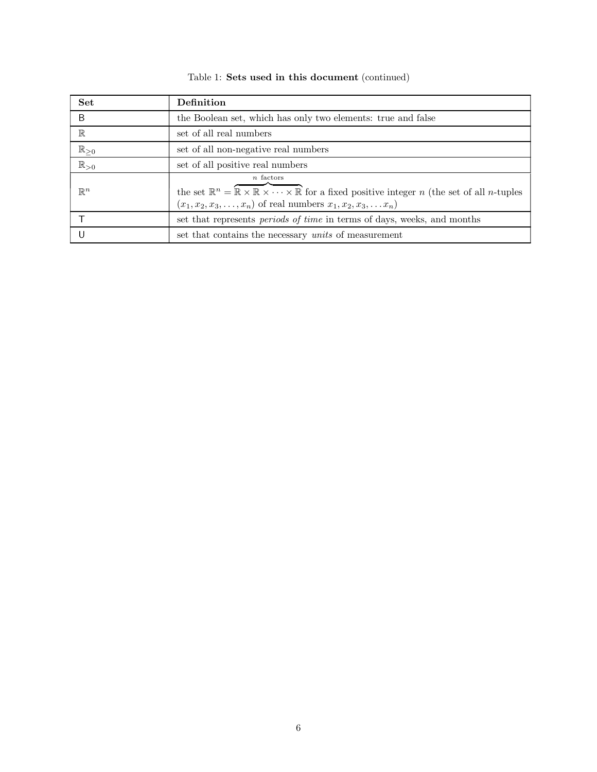| <b>Set</b>            | Definition                                                                                                                                                                                                                                                            |  |  |
|-----------------------|-----------------------------------------------------------------------------------------------------------------------------------------------------------------------------------------------------------------------------------------------------------------------|--|--|
| B                     | the Boolean set, which has only two elements: true and false                                                                                                                                                                                                          |  |  |
| $\mathbb R$           | set of all real numbers                                                                                                                                                                                                                                               |  |  |
| $\mathbb{R}_{\geq 0}$ | set of all non-negative real numbers                                                                                                                                                                                                                                  |  |  |
| $\mathbb{R}_{>0}$     | set of all positive real numbers                                                                                                                                                                                                                                      |  |  |
| $\mathbb{R}^n$        | $n$ factors<br>the set $\mathbb{R}^n = \overline{\mathbb{R} \times \mathbb{R} \times \cdots \times \mathbb{R}}$ for a fixed positive integer <i>n</i> (the set of all <i>n</i> -tuples<br>$(x_1, x_2, x_3, \ldots, x_n)$ of real numbers $x_1, x_2, x_3, \ldots, x_n$ |  |  |
|                       | set that represents <i>periods of time</i> in terms of days, weeks, and months                                                                                                                                                                                        |  |  |
|                       | set that contains the necessary <i>units</i> of measurement                                                                                                                                                                                                           |  |  |

### Table 1: Sets used in this document (continued)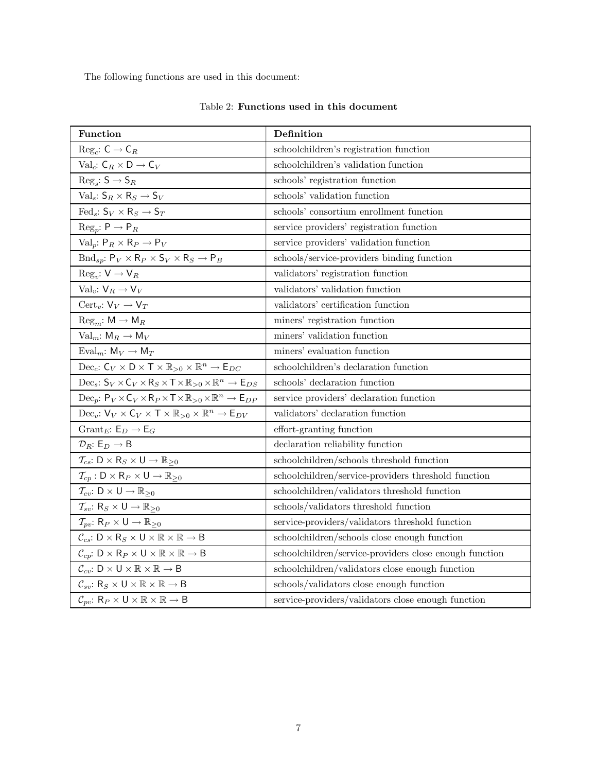The following functions are used in this document:

| Function                                                                                                                                          | Definition                                             |
|---------------------------------------------------------------------------------------------------------------------------------------------------|--------------------------------------------------------|
| $\text{Reg}_c: \mathsf{C} \to \mathsf{C}_R$                                                                                                       | schoolchildren's registration function                 |
| Val <sub>c</sub> : $C_R \times D \rightarrow C_V$                                                                                                 | schoolchildren's validation function                   |
| $\text{Reg}_s \colon \mathsf{S} \to \mathsf{S}_R$                                                                                                 | schools' registration function                         |
| Val <sub>s</sub> : $S_R \times R_S \rightarrow S_V$                                                                                               | schools' validation function                           |
| Fed <sub>s</sub> : $S_V \times R_S \rightarrow S_T$                                                                                               | schools' consortium enrollment function                |
| $\text{Reg}_p: \mathsf{P} \to \mathsf{P}_R$                                                                                                       | service providers' registration function               |
| Val <sub>p</sub> : $P_R \times R_P \rightarrow P_V$                                                                                               | service providers' validation function                 |
| $\text{Bnd}_{sp}: \mathsf{P}_V \times \mathsf{R}_P \times \mathsf{S}_V \times \mathsf{R}_S \rightarrow \mathsf{P}_B$                              | schools/service-providers binding function             |
| $\text{Reg}_v: V \to V_R$                                                                                                                         | validators' registration function                      |
| Val <sub>v</sub> : $V_R \rightarrow V_V$                                                                                                          | validators' validation function                        |
| $\operatorname{Cert}_v: V_V \to V_T$                                                                                                              | validators' certification function                     |
| $\text{Reg}_m: \mathsf{M} \to \mathsf{M}_R$                                                                                                       | miners' registration function                          |
| $Val_m: M_R \to M_V$                                                                                                                              | miners' validation function                            |
| Eval <sub>m</sub> : $M_V \rightarrow M_T$                                                                                                         | miners' evaluation function                            |
| Dec <sub>c</sub> : $C_V \times D \times T \times R_{>0} \times R^n \rightarrow E_{DC}$                                                            | schoolchildren's declaration function                  |
| Dec <sub>s</sub> : $S_V \times C_V \times R_S \times T \times R_{>0} \times R^n \rightarrow E_{DS}$                                               | schools' declaration function                          |
| Dec <sub>p</sub> : $P_V \times C_V \times R_P \times T \times R_{>0} \times R^n \rightarrow E_{DP}$                                               | service providers' declaration function                |
| $\operatorname{Dec}_v\colon \mathsf{V}_V\times \mathsf{C}_V\times \mathsf{T}\times \mathbb{R}_{>0}\times \mathbb{R}^n\rightarrow \mathsf{E}_{DV}$ | validators' declaration function                       |
| Grant <sub>E</sub> : $E_D \rightarrow E_G$                                                                                                        | effort-granting function                               |
| $\mathcal{D}_R: \, \mathsf{E}_D \to \mathsf{B}$                                                                                                   | declaration reliability function                       |
| $\mathcal{T}_{cs}: \mathsf{D} \times \mathsf{R}_S \times \mathsf{U} \rightarrow \mathbb{R}_{\geq 0}$                                              | schoolchildren/schools threshold function              |
| $\mathcal{T}_{cp} : \mathsf{D} \times \mathsf{R}_P \times \mathsf{U} \to \mathbb{R}_{\geq 0}$                                                     | schoolchildren/service-providers threshold function    |
| $\mathcal{T}_{cv}: \mathsf{D} \times \mathsf{U} \rightarrow \mathbb{R}_{\geq 0}$                                                                  | schoolchildren/validators threshold function           |
| $\mathcal{T}_{sv}: \mathsf{R}_S \times \mathsf{U} \rightarrow \mathbb{R}_{\geq 0}$                                                                | schools/validators threshold function                  |
| $\mathcal{T}_{pv}: \mathsf{R}_P \times \mathsf{U} \rightarrow \mathbb{R}_{\geq 0}$                                                                | service-providers/validators threshold function        |
| $\mathcal{C}_{cs}: \mathsf{D} \times \mathsf{R}_S \times \mathsf{U} \times \mathbb{R} \times \mathbb{R} \rightarrow \mathsf{B}$                   | schoolchildren/schools close enough function           |
| $\mathcal{C}_{cp}: \mathsf{D} \times \mathsf{R}_P \times \mathsf{U} \times \mathbb{R} \times \mathbb{R} \to \mathsf{B}$                           | schoolchildren/service-providers close enough function |
| $\mathcal{C}_{cv}: D \times U \times \mathbb{R} \times \mathbb{R} \rightarrow B$                                                                  | schoolchildren/validators close enough function        |
| $\mathcal{C}_{sv}: \mathsf{R}_S \times \mathsf{U} \times \mathbb{R} \times \mathbb{R} \rightarrow \mathsf{B}$                                     | schools/validators close enough function               |
| $\mathcal{C}_{pv}: \mathsf{R}_P \times \mathsf{U} \times \mathbb{R} \times \mathbb{R} \to \mathsf{B}$                                             | service-providers/validators close enough function     |

### Table 2: Functions used in this document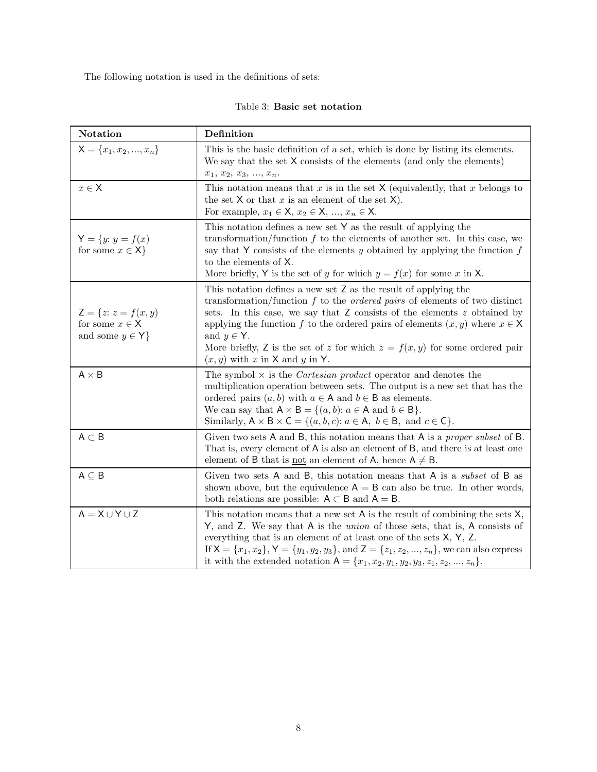The following notation is used in the definitions of sets:

|  |  |  | Table 3: Basic set notation |
|--|--|--|-----------------------------|
|--|--|--|-----------------------------|

| Notation                                                                                                                                                                                                                                                                                                                                                                                                                                                              | Definition                                                                                                                                                                                                                                                                                                                                                                                                                                                          |  |  |
|-----------------------------------------------------------------------------------------------------------------------------------------------------------------------------------------------------------------------------------------------------------------------------------------------------------------------------------------------------------------------------------------------------------------------------------------------------------------------|---------------------------------------------------------------------------------------------------------------------------------------------------------------------------------------------------------------------------------------------------------------------------------------------------------------------------------------------------------------------------------------------------------------------------------------------------------------------|--|--|
| $X = \{x_1, x_2, , x_n\}$                                                                                                                                                                                                                                                                                                                                                                                                                                             | This is the basic definition of a set, which is done by listing its elements.<br>We say that the set X consists of the elements (and only the elements)<br>$x_1, x_2, x_3, , x_n.$                                                                                                                                                                                                                                                                                  |  |  |
| $x\in\mathsf{X}$                                                                                                                                                                                                                                                                                                                                                                                                                                                      | This notation means that x is in the set $X$ (equivalently, that x belongs to<br>the set $X$ or that $x$ is an element of the set $X$ ).<br>For example, $x_1 \in \mathsf{X}, x_2 \in \mathsf{X}, , x_n \in \mathsf{X}$ .                                                                                                                                                                                                                                           |  |  |
| $Y = \{y: y = f(x)\}$<br>for some $x \in \mathsf{X}$                                                                                                                                                                                                                                                                                                                                                                                                                  | This notation defines a new set $Y$ as the result of applying the<br>transformation/function $f$ to the elements of another set. In this case, we<br>say that Y consists of the elements $y$ obtained by applying the function $f$<br>to the elements of X.<br>More briefly, Y is the set of y for which $y = f(x)$ for some x in X.                                                                                                                                |  |  |
| $Z = \{z: z = f(x, y)\}$<br>for some $x \in \mathsf{X}$<br>and some $y \in Y$                                                                                                                                                                                                                                                                                                                                                                                         | This notation defines a new set Z as the result of applying the<br>transformation/function $f$ to the <i>ordered pairs</i> of elements of two distinct<br>sets. In this case, we say that $Z$ consists of the elements $z$ obtained by<br>applying the function f to the ordered pairs of elements $(x, y)$ where $x \in X$<br>and $y \in Y$ .<br>More briefly, Z is the set of z for which $z = f(x, y)$ for some ordered pair<br>$(x, y)$ with x in X and y in Y. |  |  |
| $A \times B$                                                                                                                                                                                                                                                                                                                                                                                                                                                          | The symbol $\times$ is the <i>Cartesian product</i> operator and denotes the<br>multiplication operation between sets. The output is a new set that has the<br>ordered pairs $(a, b)$ with $a \in A$ and $b \in B$ as elements.<br>We can say that $A \times B = \{(a, b): a \in A \text{ and } b \in B\}.$<br>Similarly, $A \times B \times C = \{(a, b, c): a \in A, b \in B, \text{ and } c \in C\}.$                                                            |  |  |
| $A \subset B$                                                                                                                                                                                                                                                                                                                                                                                                                                                         | Given two sets A and B, this notation means that A is a <i>proper subset</i> of B.<br>That is, every element of A is also an element of B, and there is at least one<br>element of B that is <u>not</u> an element of A, hence $A \neq B$ .                                                                                                                                                                                                                         |  |  |
| $A \subseteq B$<br>Given two sets A and B, this notation means that A is a <i>subset</i> of B as<br>shown above, but the equivalence $A = B$ can also be true. In other words,<br>both relations are possible: $A \subset B$ and $A = B$ .                                                                                                                                                                                                                            |                                                                                                                                                                                                                                                                                                                                                                                                                                                                     |  |  |
| $A = X \cup Y \cup Z$<br>This notation means that a new set $A$ is the result of combining the sets $X$ ,<br>Y, and Z. We say that A is the <i>union</i> of those sets, that is, A consists of<br>everything that is an element of at least one of the sets $X, Y, Z$ .<br>If $X = \{x_1, x_2\}$ , $Y = \{y_1, y_2, y_3\}$ , and $Z = \{z_1, z_2, , z_n\}$ , we can also express<br>it with the extended notation $A = \{x_1, x_2, y_1, y_2, y_3, z_1, z_2, , z_n\}.$ |                                                                                                                                                                                                                                                                                                                                                                                                                                                                     |  |  |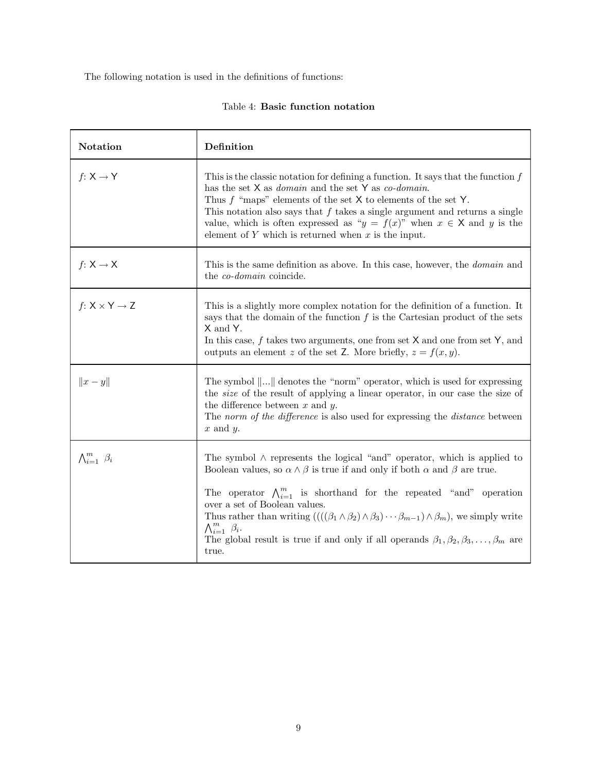The following notation is used in the definitions of functions:

|  |  |  | Table 4: Basic function notation |
|--|--|--|----------------------------------|
|--|--|--|----------------------------------|

| <b>Notation</b>               | Definition                                                                                                                                                                                                                                                                                                                                                                                                                                                                                                                                                                                    |  |  |
|-------------------------------|-----------------------------------------------------------------------------------------------------------------------------------------------------------------------------------------------------------------------------------------------------------------------------------------------------------------------------------------------------------------------------------------------------------------------------------------------------------------------------------------------------------------------------------------------------------------------------------------------|--|--|
| $f: X \rightarrow Y$          | This is the classic notation for defining a function. It says that the function $f$<br>has the set $X$ as <i>domain</i> and the set $Y$ as <i>co-domain</i> .<br>Thus $f$ "maps" elements of the set $X$ to elements of the set $Y$ .<br>This notation also says that $f$ takes a single argument and returns a single<br>value, which is often expressed as " $y = f(x)$ " when $x \in X$ and y is the<br>element of $Y$ which is returned when $x$ is the input.                                                                                                                            |  |  |
| $f: X \rightarrow X$          | This is the same definition as above. In this case, however, the <i>domain</i> and<br>the <i>co-domain</i> coincide.                                                                                                                                                                                                                                                                                                                                                                                                                                                                          |  |  |
| $f: X \times Y \rightarrow Z$ | This is a slightly more complex notation for the definition of a function. It<br>says that the domain of the function $f$ is the Cartesian product of the sets<br>X and Y.<br>In this case, $f$ takes two arguments, one from set $X$ and one from set $Y$ , and<br>outputs an element z of the set Z. More briefly, $z = f(x, y)$ .                                                                                                                                                                                                                                                          |  |  |
| $  x-y  $                     | The symbol $\ \ldots\ $ denotes the "norm" operator, which is used for expressing<br>the <i>size</i> of the result of applying a linear operator, in our case the size of<br>the difference between $x$ and $y$ .<br>The norm of the difference is also used for expressing the distance between<br>$x$ and $y$ .                                                                                                                                                                                                                                                                             |  |  |
| $\bigwedge_{i=1}^m \beta_i$   | The symbol $\wedge$ represents the logical "and" operator, which is applied to<br>Boolean values, so $\alpha \wedge \beta$ is true if and only if both $\alpha$ and $\beta$ are true.<br>The operator $\bigwedge_{i=1}^{m}$ is shorthand for the repeated "and" operation<br>over a set of Boolean values.<br>Thus rather than writing $(((\beta_1 \wedge \beta_2) \wedge \beta_3) \cdots \beta_{m-1}) \wedge \beta_m)$ , we simply write<br>$\bigwedge_{i=1}^m \beta_i$ .<br>The global result is true if and only if all operands $\beta_1, \beta_2, \beta_3, \ldots, \beta_m$ are<br>true. |  |  |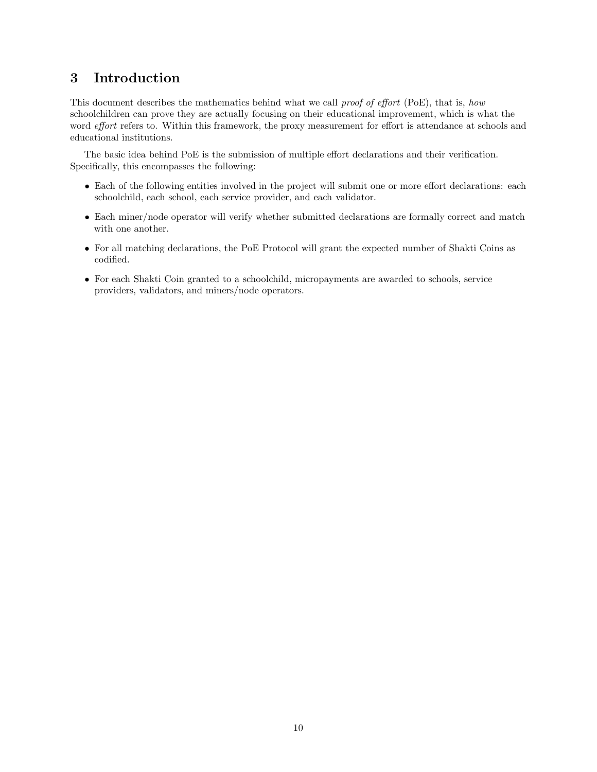# 3 Introduction

This document describes the mathematics behind what we call *proof of effort* (PoE), that is, *how* schoolchildren can prove they are actually focusing on their educational improvement, which is what the word *effort* refers to. Within this framework, the proxy measurement for effort is attendance at schools and educational institutions.

The basic idea behind PoE is the submission of multiple effort declarations and their verification. Specifically, this encompasses the following:

- Each of the following entities involved in the project will submit one or more effort declarations: each schoolchild, each school, each service provider, and each validator.
- Each miner/node operator will verify whether submitted declarations are formally correct and match with one another.
- For all matching declarations, the PoE Protocol will grant the expected number of Shakti Coins as codified.
- For each Shakti Coin granted to a schoolchild, micropayments are awarded to schools, service providers, validators, and miners/node operators.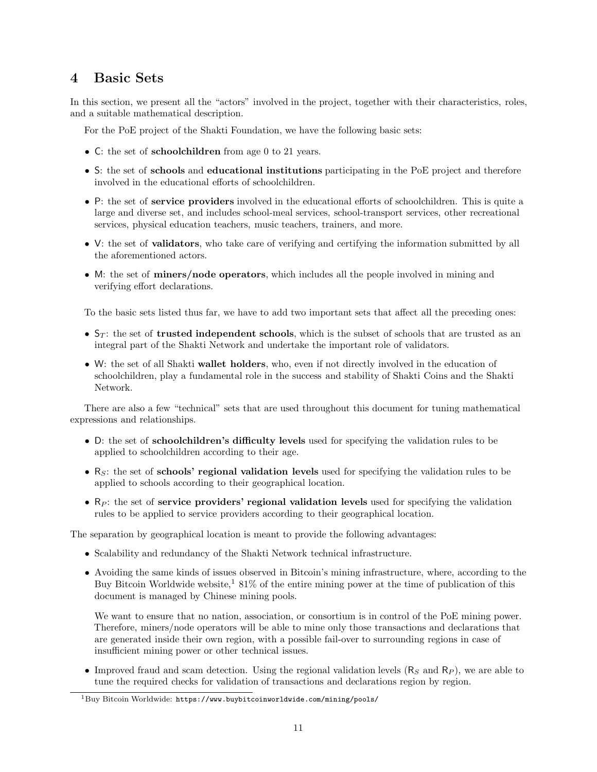# 4 Basic Sets

In this section, we present all the "actors" involved in the project, together with their characteristics, roles, and a suitable mathematical description.

For the PoE project of the Shakti Foundation, we have the following basic sets:

- C: the set of schoolchildren from age 0 to 21 years.
- S: the set of schools and educational institutions participating in the PoE project and therefore involved in the educational efforts of schoolchildren.
- P: the set of service providers involved in the educational efforts of schoolchildren. This is quite a large and diverse set, and includes school-meal services, school-transport services, other recreational services, physical education teachers, music teachers, trainers, and more.
- V: the set of **validators**, who take care of verifying and certifying the information submitted by all the aforementioned actors.
- M: the set of **miners/node operators**, which includes all the people involved in mining and verifying effort declarations.

To the basic sets listed thus far, we have to add two important sets that affect all the preceding ones:

- $S_T$ : the set of trusted independent schools, which is the subset of schools that are trusted as an integral part of the Shakti Network and undertake the important role of validators.
- W: the set of all Shakti wallet holders, who, even if not directly involved in the education of schoolchildren, play a fundamental role in the success and stability of Shakti Coins and the Shakti Network.

There are also a few "technical" sets that are used throughout this document for tuning mathematical expressions and relationships.

- D: the set of schoolchildren's difficulty levels used for specifying the validation rules to be applied to schoolchildren according to their age.
- $R<sub>S</sub>$ : the set of **schools' regional validation levels** used for specifying the validation rules to be applied to schools according to their geographical location.
- $R_P$ : the set of service providers' regional validation levels used for specifying the validation rules to be applied to service providers according to their geographical location.

The separation by geographical location is meant to provide the following advantages:

- Scalability and redundancy of the Shakti Network technical infrastructure.
- Avoiding the same kinds of issues observed in Bitcoin's mining infrastructure, where, according to the Buy Bitcoin Worldwide website,<sup>1</sup> 81% of the entire mining power at the time of publication of this document is managed by Chinese mining pools.

We want to ensure that no nation, association, or consortium is in control of the PoE mining power. Therefore, miners/node operators will be able to mine only those transactions and declarations that are generated inside their own region, with a possible fail-over to surrounding regions in case of insufficient mining power or other technical issues.

• Improved fraud and scam detection. Using the regional validation levels  $(R<sub>S</sub>$  and  $R<sub>P</sub>$ ), we are able to tune the required checks for validation of transactions and declarations region by region.

 $1$ Buy Bitcoin Worldwide: https://www.buybitcoinworldwide.com/mining/pools/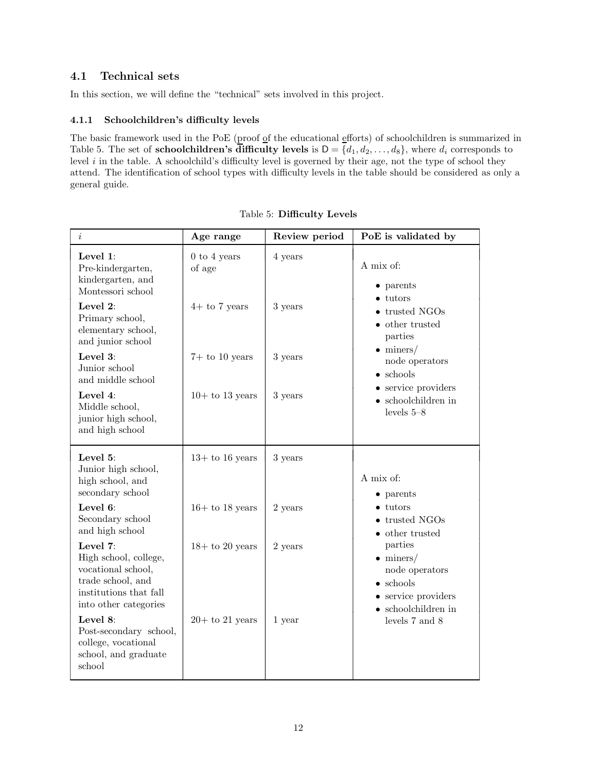### 4.1 Technical sets

In this section, we will define the "technical" sets involved in this project.

### 4.1.1 Schoolchildren's difficulty levels

The basic framework used in the PoE (proof of the educational efforts) of schoolchildren is summarized in Table 5. The set of **schoolchildren's difficulty levels** is  $D = \{d_1, d_2, \ldots, d_8\}$ , where  $d_i$  corresponds to level  $i$  in the table. A schoolchild's difficulty level is governed by their age, not the type of school they attend. The identification of school types with difficulty levels in the table should be considered as only a general guide.

| $\it i$                                                                                                                         | Age range                | Review period | PoE is validated by                                                                                                                                                                                                             |
|---------------------------------------------------------------------------------------------------------------------------------|--------------------------|---------------|---------------------------------------------------------------------------------------------------------------------------------------------------------------------------------------------------------------------------------|
| Level 1:<br>Pre-kindergarten,<br>kindergarten, and                                                                              | $0$ to 4 years<br>of age | 4 years       | A mix of:                                                                                                                                                                                                                       |
| Montessori school<br>Level 2:<br>Primary school,<br>elementary school,<br>and junior school                                     | $4+$ to 7 years          | 3 years       | $\bullet$ parents<br>$\bullet$ tutors<br>• trusted NGOs<br>$\bullet$ other trusted<br>parties<br>$\bullet$ miners/<br>node operators<br>$\bullet$ schools<br>• service providers<br>$\bullet$ schoolchildren in<br>levels $5-8$ |
| Level 3:<br>Junior school<br>and middle school                                                                                  | $7+$ to 10 years         | 3 years       |                                                                                                                                                                                                                                 |
| Level 4:<br>Middle school,<br>junior high school,<br>and high school                                                            | $10+$ to 13 years        | 3 years       |                                                                                                                                                                                                                                 |
| Level 5:<br>Junior high school,<br>high school, and<br>secondary school                                                         | $13+$ to 16 years        | 3 years       | A mix of:<br>$\bullet$ parents                                                                                                                                                                                                  |
| Level 6:<br>Secondary school<br>and high school                                                                                 | $16+$ to 18 years        | 2 years       | $\bullet$ tutors<br>$\bullet$ trusted NGOs<br>$\bullet\,$ other trusted<br>parties<br>$\bullet$ miners/<br>node operators<br>$\bullet$ schools<br>• service providers<br>$\bullet$ schoolchildren in<br>levels 7 and 8          |
| Level 7:<br>High school, college,<br>vocational school,<br>trade school, and<br>institutions that fall<br>into other categories | $18+$ to 20 years        | 2 years       |                                                                                                                                                                                                                                 |
| Level 8:<br>Post-secondary school,<br>college, vocational<br>school, and graduate<br>school                                     | $20+$ to 21 years        | 1 year        |                                                                                                                                                                                                                                 |

Table 5: Difficulty Levels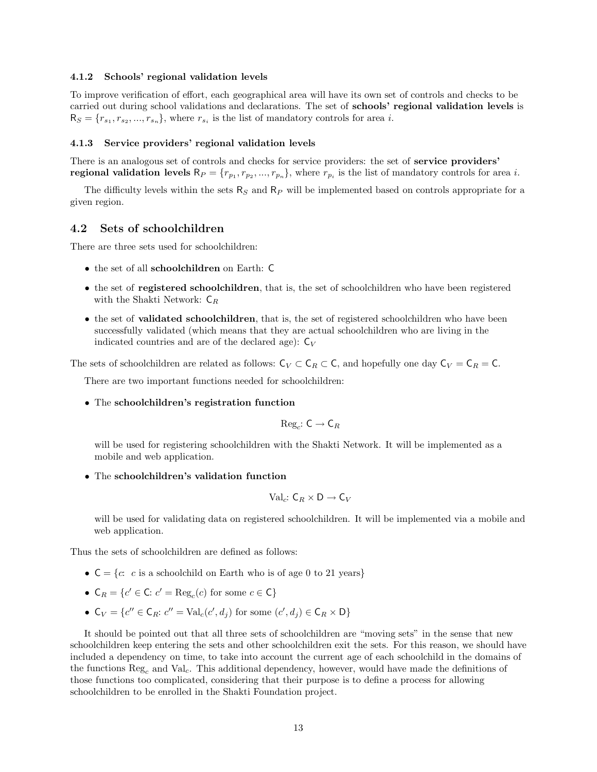#### 4.1.2 Schools' regional validation levels

To improve verification of effort, each geographical area will have its own set of controls and checks to be carried out during school validations and declarations. The set of schools' regional validation levels is  $R_S = \{r_{s_1}, r_{s_2}, ..., r_{s_n}\}\$ , where  $r_{s_i}$  is the list of mandatory controls for area i.

#### 4.1.3 Service providers' regional validation levels

There is an analogous set of controls and checks for service providers: the set of service providers' **regional validation levels**  $\mathsf{R}_P = \{r_{p_1}, r_{p_2}, ..., r_{p_n}\}\$ , where  $r_{p_i}$  is the list of mandatory controls for area *i*.

The difficulty levels within the sets  $R<sub>S</sub>$  and  $R<sub>P</sub>$  will be implemented based on controls appropriate for a given region.

#### 4.2 Sets of schoolchildren

There are three sets used for schoolchildren:

- the set of all schoolchildren on Earth: C
- the set of **registered schoolchildren**, that is, the set of schoolchildren who have been registered with the Shakti Network:  $C_R$
- the set of **validated schoolchildren**, that is, the set of registered schoolchildren who have been successfully validated (which means that they are actual schoolchildren who are living in the indicated countries and are of the declared age):  $C_V$

The sets of schoolchildren are related as follows:  $C_V \subset C_R \subset C$ , and hopefully one day  $C_V = C_R = C$ .

There are two important functions needed for schoolchildren:

• The schoolchildren's registration function

$$
\mathrm{Reg}_c\colon \mathsf{C}\to \mathsf{C}_R
$$

will be used for registering schoolchildren with the Shakti Network. It will be implemented as a mobile and web application.

• The schoolchildren's validation function

$$
\mathrm{Val}_c: \mathsf{C}_R \times \mathsf{D} \to \mathsf{C}_V
$$

will be used for validating data on registered schoolchildren. It will be implemented via a mobile and web application.

Thus the sets of schoolchildren are defined as follows:

- $C = \{c: c \text{ is a schoolchild on Earth who is of age } 0 \text{ to } 21 \text{ years}\}\$
- $C_R = \{c' \in \mathbb{C}: c' = \text{Reg}_c(c) \text{ for some } c \in \mathbb{C}\}\$
- $C_V = \{c'' \in C_R : c'' = \text{Val}_c(c', d_j) \text{ for some } (c', d_j) \in C_R \times D\}$

It should be pointed out that all three sets of schoolchildren are "moving sets" in the sense that new schoolchildren keep entering the sets and other schoolchildren exit the sets. For this reason, we should have included a dependency on time, to take into account the current age of each schoolchild in the domains of the functions  $\text{Reg}_c$  and  $\text{Val}_c$ . This additional dependency, however, would have made the definitions of those functions too complicated, considering that their purpose is to define a process for allowing schoolchildren to be enrolled in the Shakti Foundation project.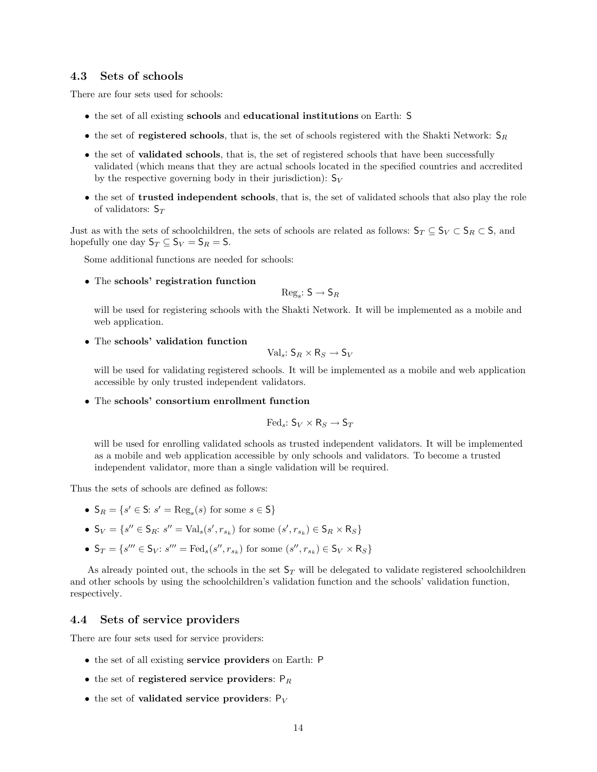#### 4.3 Sets of schools

There are four sets used for schools:

- the set of all existing schools and educational institutions on Earth: S
- the set of registered schools, that is, the set of schools registered with the Shakti Network:  $S_R$
- the set of **validated schools**, that is, the set of registered schools that have been successfully validated (which means that they are actual schools located in the specified countries and accredited by the respective governing body in their jurisdiction):  $S_V$
- the set of trusted independent schools, that is, the set of validated schools that also play the role of validators:  $S_T$

Just as with the sets of schoolchildren, the sets of schools are related as follows:  $S_T \subseteq S_V \subset S_R \subset S$ , and hopefully one day  $S_T \subseteq S_V = S_R = S$ .

Some additional functions are needed for schools:

• The schools' registration function

$$
\mathrm{Reg}_s\colon \mathsf{S}\to \mathsf{S}_R
$$

will be used for registering schools with the Shakti Network. It will be implemented as a mobile and web application.

• The schools' validation function

$$
\mathrm{Val}_s\colon \mathsf{S}_R\times\mathsf{R}_S\to \mathsf{S}_V
$$

will be used for validating registered schools. It will be implemented as a mobile and web application accessible by only trusted independent validators.

• The schools' consortium enrollment function

$$
\mathrm{Fed}_s\colon \mathsf{S}_V\times\mathsf{R}_S\to \mathsf{S}_T
$$

will be used for enrolling validated schools as trusted independent validators. It will be implemented as a mobile and web application accessible by only schools and validators. To become a trusted independent validator, more than a single validation will be required.

Thus the sets of schools are defined as follows:

- $S_R = \{s' \in S: s' = \text{Reg}_s(s) \text{ for some } s \in S\}$
- $S_V = \{s'' \in S_R: s'' = \text{Val}_s(s', r_{s_k}) \text{ for some } (s', r_{s_k}) \in S_R \times R_S\}$
- $S_T = \{s''' \in S_V : s''' = \text{Fed}_s(s'', r_{s_k}) \text{ for some } (s'', r_{s_k}) \in S_V \times R_S\}$

As already pointed out, the schools in the set  $S_T$  will be delegated to validate registered schoolchildren and other schools by using the schoolchildren's validation function and the schools' validation function, respectively.

#### 4.4 Sets of service providers

There are four sets used for service providers:

- the set of all existing service providers on Earth: P
- the set of registered service providers:  $P_R$
- the set of validated service providers:  $P_V$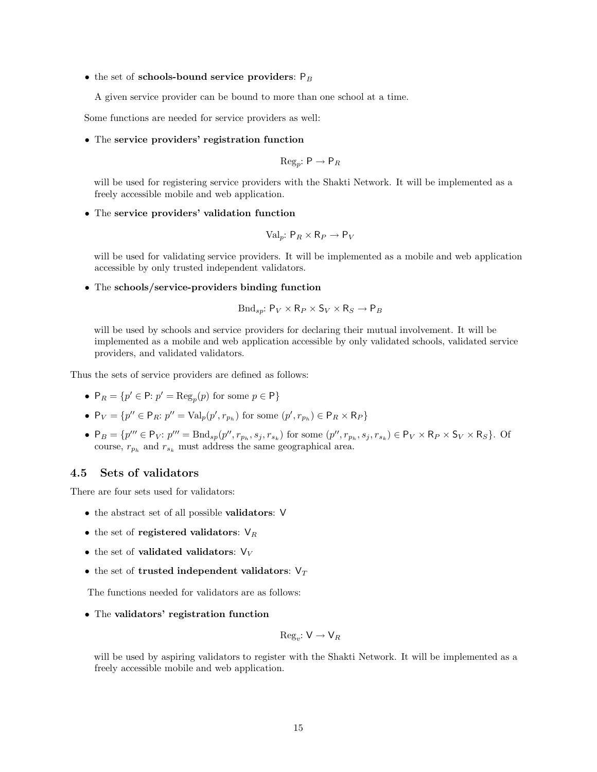• the set of schools-bound service providers:  $P_B$ 

A given service provider can be bound to more than one school at a time.

Some functions are needed for service providers as well:

• The service providers' registration function

$$
\text{Reg}_p: \mathsf{P} \to \mathsf{P}_R
$$

will be used for registering service providers with the Shakti Network. It will be implemented as a freely accessible mobile and web application.

#### • The service providers' validation function

$$
\text{Val}_p: \mathsf{P}_R \times \mathsf{R}_P \to \mathsf{P}_V
$$

will be used for validating service providers. It will be implemented as a mobile and web application accessible by only trusted independent validators.

• The schools/service-providers binding function

$$
\text{Bnd}_{sp}: \mathsf{P}_V \times \mathsf{R}_P \times \mathsf{S}_V \times \mathsf{R}_S \to \mathsf{P}_B
$$

will be used by schools and service providers for declaring their mutual involvement. It will be implemented as a mobile and web application accessible by only validated schools, validated service providers, and validated validators.

Thus the sets of service providers are defined as follows:

- $P_R = \{p' \in \mathsf{P}: p' = \text{Reg}_n(p) \text{ for some } p \in \mathsf{P}\}\$
- $P_V = \{p'' \in P_R: p'' = \text{Val}_p(p', r_{p_h}) \text{ for some } (p', r_{p_h}) \in P_R \times R_P\}$
- $P_B = \{p''' \in P_V: p''' = \text{Bnd}_{sp}(p'', r_{p_h}, s_j, r_{s_k}) \text{ for some } (p'', r_{p_h}, s_j, r_{s_k}) \in P_V \times R_P \times S_V \times R_S\}.$  Of course,  $r_{p_h}$  and  $r_{s_k}$  must address the same geographical area.

#### 4.5 Sets of validators

There are four sets used for validators:

- the abstract set of all possible validators: V
- the set of registered validators:  $V_R$
- the set of validated validators:  $V_V$
- the set of trusted independent validators:  $V_T$

The functions needed for validators are as follows:

• The validators' registration function

$$
\mathrm{Reg}_v\colon \mathsf{V} \to \mathsf{V}_R
$$

will be used by aspiring validators to register with the Shakti Network. It will be implemented as a freely accessible mobile and web application.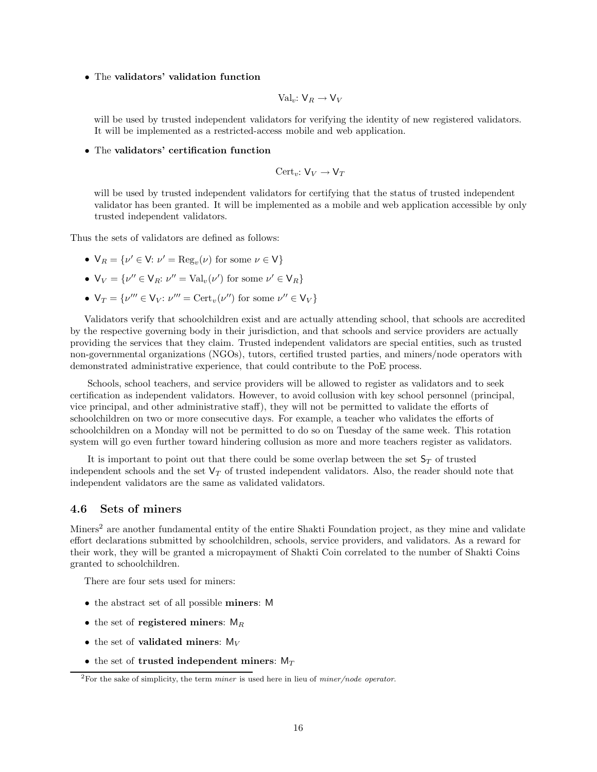#### • The validators' validation function

$$
\text{Val}_v: \mathsf{V}_R \to \mathsf{V}_V
$$

will be used by trusted independent validators for verifying the identity of new registered validators. It will be implemented as a restricted-access mobile and web application.

• The validators' certification function

$$
\operatorname{Cert}_v: \mathsf{V}_V \to \mathsf{V}_T
$$

will be used by trusted independent validators for certifying that the status of trusted independent validator has been granted. It will be implemented as a mobile and web application accessible by only trusted independent validators.

Thus the sets of validators are defined as follows:

- $V_R = \{v' \in V: v' = \text{Reg}_v(v) \text{ for some } v \in V\}$
- $V_V = \{v'' \in V_R : v'' = Val_v(v') \text{ for some } v' \in V_R\}$
- $V_T = \{ \nu''' \in V_V : \nu''' = \text{Cert}_v(\nu'') \text{ for some } \nu'' \in V_V \}$

Validators verify that schoolchildren exist and are actually attending school, that schools are accredited by the respective governing body in their jurisdiction, and that schools and service providers are actually providing the services that they claim. Trusted independent validators are special entities, such as trusted non-governmental organizations (NGOs), tutors, certified trusted parties, and miners/node operators with demonstrated administrative experience, that could contribute to the PoE process.

Schools, school teachers, and service providers will be allowed to register as validators and to seek certification as independent validators. However, to avoid collusion with key school personnel (principal, vice principal, and other administrative staff), they will not be permitted to validate the efforts of schoolchildren on two or more consecutive days. For example, a teacher who validates the efforts of schoolchildren on a Monday will not be permitted to do so on Tuesday of the same week. This rotation system will go even further toward hindering collusion as more and more teachers register as validators.

It is important to point out that there could be some overlap between the set  $\mathsf{S}_T$  of trusted independent schools and the set  $V_T$  of trusted independent validators. Also, the reader should note that independent validators are the same as validated validators.

#### 4.6 Sets of miners

Miners<sup>2</sup> are another fundamental entity of the entire Shakti Foundation project, as they mine and validate effort declarations submitted by schoolchildren, schools, service providers, and validators. As a reward for their work, they will be granted a micropayment of Shakti Coin correlated to the number of Shakti Coins granted to schoolchildren.

There are four sets used for miners:

- the abstract set of all possible miners: M
- the set of registered miners:  $M_R$
- the set of validated miners:  $M_V$
- the set of trusted independent miners:  $M_T$

 $2\text{For the sake of simplicity, the term *miner* is used here in lieu of *miner/node operator*.$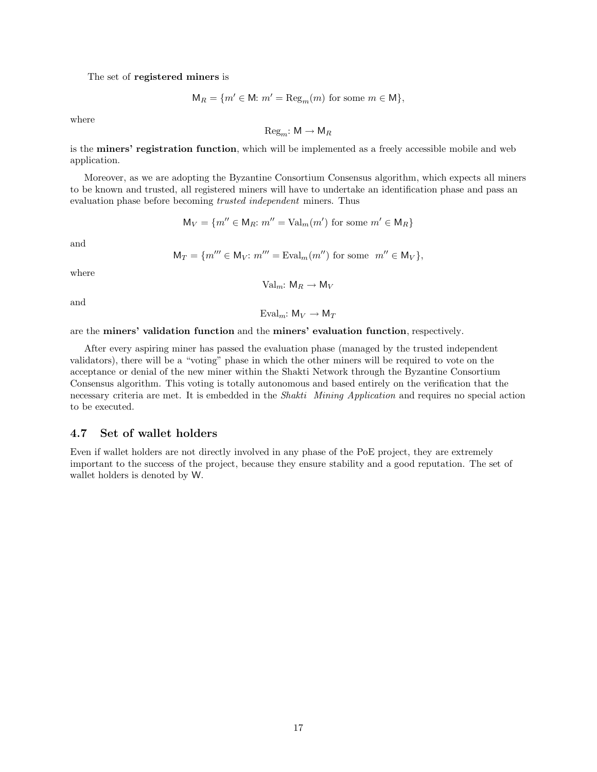The set of registered miners is

$$
\mathsf{M}_R = \{ m' \in \mathsf{M}: m' = \mathrm{Reg}_m(m) \text{ for some } m \in \mathsf{M} \},
$$

where

 $Reg_m: M \to M_R$ 

is the miners' registration function, which will be implemented as a freely accessible mobile and web application.

Moreover, as we are adopting the Byzantine Consortium Consensus algorithm, which expects all miners to be known and trusted, all registered miners will have to undertake an identification phase and pass an evaluation phase before becoming trusted independent miners. Thus

$$
\mathsf{M}_V = \{ m'' \in \mathsf{M}_R : m'' = \text{Val}_m(m') \text{ for some } m' \in \mathsf{M}_R \}
$$

and

$$
\mathsf{M}_T = \{ m''' \in \mathsf{M}_V : m''' = \mathrm{Eval}_m(m'') \text{ for some } m'' \in \mathsf{M}_V \},
$$

where

$$
Val_m: M_R \to M_V
$$

and

Eval<sub>m</sub>:  $M_V \rightarrow M_T$ 

are the miners' validation function and the miners' evaluation function, respectively.

After every aspiring miner has passed the evaluation phase (managed by the trusted independent validators), there will be a "voting" phase in which the other miners will be required to vote on the acceptance or denial of the new miner within the Shakti Network through the Byzantine Consortium Consensus algorithm. This voting is totally autonomous and based entirely on the verification that the necessary criteria are met. It is embedded in the Shakti Mining Application and requires no special action to be executed.

### 4.7 Set of wallet holders

Even if wallet holders are not directly involved in any phase of the PoE project, they are extremely important to the success of the project, because they ensure stability and a good reputation. The set of wallet holders is denoted by W.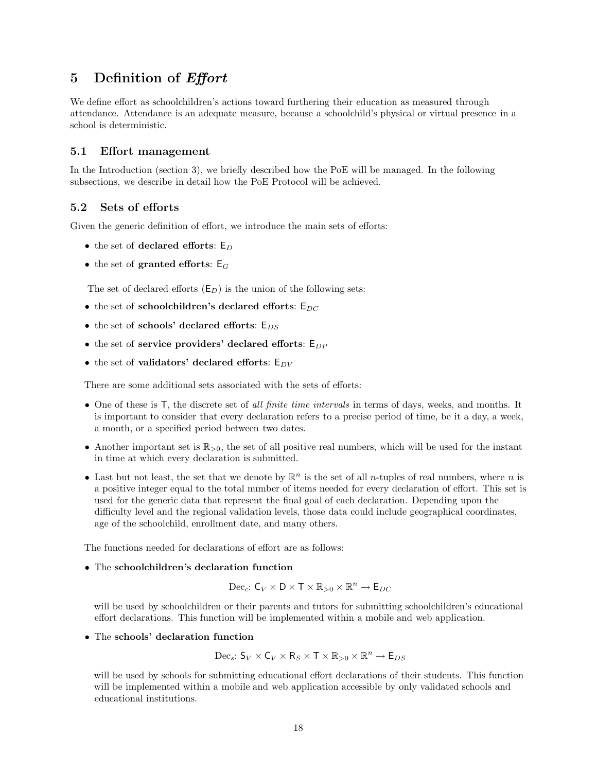# 5 Definition of Effort

We define effort as schoolchildren's actions toward furthering their education as measured through attendance. Attendance is an adequate measure, because a schoolchild's physical or virtual presence in a school is deterministic.

#### 5.1 Effort management

In the Introduction (section 3), we briefly described how the PoE will be managed. In the following subsections, we describe in detail how the PoE Protocol will be achieved.

#### 5.2 Sets of efforts

Given the generic definition of effort, we introduce the main sets of efforts:

- the set of declared efforts:  $E_D$
- the set of granted efforts:  $E_G$

The set of declared efforts  $(E_D)$  is the union of the following sets:

- the set of schoolchildren's declared efforts:  $E_{DC}$
- the set of schools' declared efforts:  $E_{DS}$
- the set of service providers' declared efforts:  $E_{DP}$
- the set of validators' declared efforts:  $E_{DV}$

There are some additional sets associated with the sets of efforts:

- One of these is T, the discrete set of all finite time intervals in terms of days, weeks, and months. It is important to consider that every declaration refers to a precise period of time, be it a day, a week, a month, or a specified period between two dates.
- Another important set is  $\mathbb{R}_{>0}$ , the set of all positive real numbers, which will be used for the instant in time at which every declaration is submitted.
- Last but not least, the set that we denote by  $\mathbb{R}^n$  is the set of all *n*-tuples of real numbers, where *n* is a positive integer equal to the total number of items needed for every declaration of effort. This set is used for the generic data that represent the final goal of each declaration. Depending upon the difficulty level and the regional validation levels, those data could include geographical coordinates, age of the schoolchild, enrollment date, and many others.

The functions needed for declarations of effort are as follows:

#### • The schoolchildren's declaration function

$$
\mathrm{Dec}_c\colon \mathsf{C}_V\times \mathsf{D}\times \mathsf{T}\times \mathbb{R}_{>0}\times \mathbb{R}^n\rightarrow \mathsf{E}_{DC}
$$

will be used by schoolchildren or their parents and tutors for submitting schoolchildren's educational effort declarations. This function will be implemented within a mobile and web application.

• The schools' declaration function

$$
\mathrm{Dec}_s\colon \mathsf{S}_V\times \mathsf{C}_V\times \mathsf{R}_S\times \mathsf{T}\times \mathbb{R}_{>0}\times \mathbb{R}^n\rightarrow \mathsf{E}_{DS}
$$

will be used by schools for submitting educational effort declarations of their students. This function will be implemented within a mobile and web application accessible by only validated schools and educational institutions.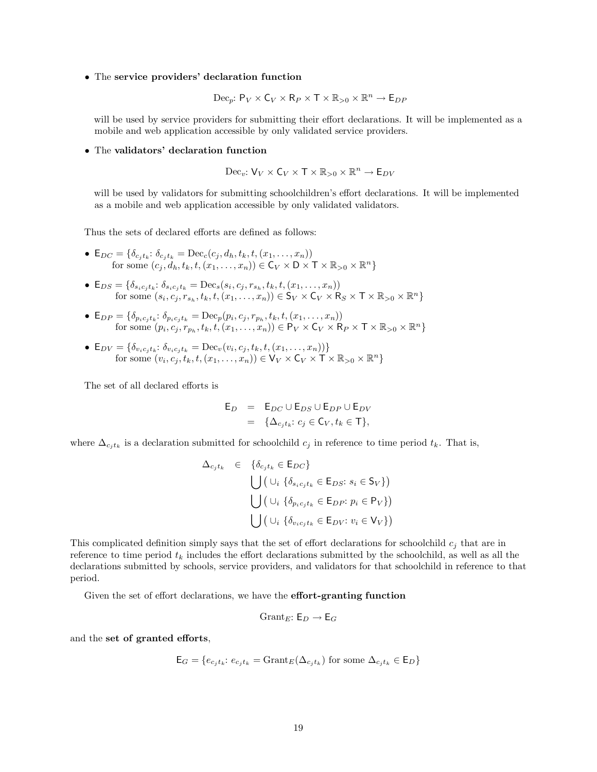• The service providers' declaration function

$$
\text{Dec}_p: \mathsf{P}_V \times \mathsf{C}_V \times \mathsf{R}_P \times \mathsf{T} \times \mathbb{R}_{>0} \times \mathbb{R}^n \to \mathsf{E}_{DP}
$$

will be used by service providers for submitting their effort declarations. It will be implemented as a mobile and web application accessible by only validated service providers.

• The validators' declaration function

$$
\text{Dec}_{v}: V_{V} \times C_{V} \times T \times \mathbb{R}_{>0} \times \mathbb{R}^{n} \to E_{DV}
$$

will be used by validators for submitting schoolchildren's effort declarations. It will be implemented as a mobile and web application accessible by only validated validators.

Thus the sets of declared efforts are defined as follows:

- $E_{DC} = \{\delta_{c_j t_k}: \delta_{c_j t_k} = \text{Dec}_c(c_j, d_h, t_k, t, (x_1, \ldots, x_n))\}$ for some  $(c_j, d_h, t_k, t, (x_1, \ldots, x_n)) \in \mathsf{C}_V \times \mathsf{D} \times \mathsf{T} \times \mathbb{R}_{>0} \times \mathbb{R}^n$
- $E_{DS} = \{\delta_{s_i c_j t_k}: \delta_{s_i c_j t_k} = \text{Dec}_s(s_i, c_j, r_{s_h}, t_k, t, (x_1, \ldots, x_n))\}$ for some  $(s_i, c_j, r_{s_h}, t_k, t, (x_1, \ldots, x_n)) \in S_V \times C_V \times R_S \times T \times \mathbb{R}_{>0} \times \mathbb{R}^n$
- $E_{DP} = \{\delta_{p_i c_j t_k}: \delta_{p_i c_j t_k} = \text{Dec}_p(p_i, c_j, r_{p_h}, t_k, t, (x_1, \ldots, x_n))\}$ for some  $(p_i, c_j, r_{p_h}, t_k, t, (x_1, \ldots, x_n)) \in \mathsf{P}_V \times \mathsf{C}_V \times \mathsf{R}_P \times \mathsf{T} \times \mathbb{R}_{>0} \times \mathbb{R}^n$
- $E_{DV} = \{\delta_{v_ic_jt_k}: \delta_{v_ic_jt_k} = \text{Dec}_v(v_i, c_j, t_k, t, (x_1, \ldots, x_n))\}$ for some  $(v_i, c_j, t_k, t, (x_1, \ldots, x_n)) \in V_V \times C_V \times T \times \mathbb{R}_{>0} \times \mathbb{R}^n$

The set of all declared efforts is

$$
\begin{array}{rcl}\n\mathsf{E}_D & = & \mathsf{E}_{DC} \cup \mathsf{E}_{DS} \cup \mathsf{E}_{DP} \cup \mathsf{E}_{DV} \\
& = & \{\Delta_{c_j t_k}: c_j \in \mathsf{C}_V, t_k \in \mathsf{T}\},\n\end{array}
$$

where  $\Delta_{c_jtk}$  is a declaration submitted for schoolchild  $c_j$  in reference to time period  $t_k$ . That is,

$$
\Delta_{c_j t_k} \in \{ \delta_{c_j t_k} \in \mathsf{E}_{DC} \}
$$
\n
$$
\bigcup \left( \cup_i \{ \delta_{s_i c_j t_k} \in \mathsf{E}_{DS}: s_i \in \mathsf{S}_V \} \right)
$$
\n
$$
\bigcup \left( \cup_i \{ \delta_{p_i c_j t_k} \in \mathsf{E}_{DP}: p_i \in \mathsf{P}_V \} \right)
$$
\n
$$
\bigcup \left( \cup_i \{ \delta_{v_i c_j t_k} \in \mathsf{E}_{DV}: v_i \in \mathsf{V}_V \} \right)
$$

This complicated definition simply says that the set of effort declarations for schoolchild  $c_j$  that are in reference to time period  $t_k$  includes the effort declarations submitted by the schoolchild, as well as all the declarations submitted by schools, service providers, and validators for that schoolchild in reference to that period.

Given the set of effort declarations, we have the effort-granting function

$$
\mathrm{Grant}_E \colon \mathsf{E}_D \to \mathsf{E}_G
$$

and the set of granted efforts,

$$
\mathsf{E}_G = \{e_{c_j t_k}: e_{c_j t_k} = \text{Grant}_E(\Delta_{c_j t_k}) \text{ for some } \Delta_{c_j t_k} \in \mathsf{E}_D\}
$$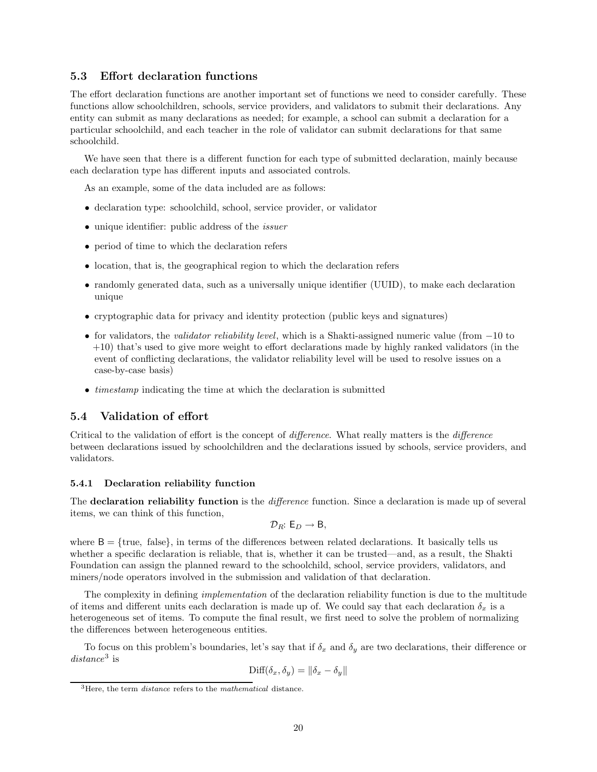#### 5.3 Effort declaration functions

The effort declaration functions are another important set of functions we need to consider carefully. These functions allow schoolchildren, schools, service providers, and validators to submit their declarations. Any entity can submit as many declarations as needed; for example, a school can submit a declaration for a particular schoolchild, and each teacher in the role of validator can submit declarations for that same schoolchild.

We have seen that there is a different function for each type of submitted declaration, mainly because each declaration type has different inputs and associated controls.

As an example, some of the data included are as follows:

- declaration type: schoolchild, school, service provider, or validator
- unique identifier: public address of the *issuer*
- period of time to which the declaration refers
- location, that is, the geographical region to which the declaration refers
- randomly generated data, such as a universally unique identifier (UUID), to make each declaration unique
- cryptographic data for privacy and identity protection (public keys and signatures)
- for validators, the validator reliability level, which is a Shakti-assigned numeric value (from −10 to +10) that's used to give more weight to effort declarations made by highly ranked validators (in the event of conflicting declarations, the validator reliability level will be used to resolve issues on a case-by-case basis)
- $\bullet$  *timestamp* indicating the time at which the declaration is submitted

#### 5.4 Validation of effort

Critical to the validation of effort is the concept of difference. What really matters is the difference between declarations issued by schoolchildren and the declarations issued by schools, service providers, and validators.

#### 5.4.1 Declaration reliability function

The **declaration reliability function** is the *difference* function. Since a declaration is made up of several items, we can think of this function,

$$
\mathcal{D}_R\!\!: \, \mathsf{E}_D \to \mathsf{B},
$$

where  $B = \{true, false\}$ , in terms of the differences between related declarations. It basically tells us whether a specific declaration is reliable, that is, whether it can be trusted—and, as a result, the Shakti Foundation can assign the planned reward to the schoolchild, school, service providers, validators, and miners/node operators involved in the submission and validation of that declaration.

The complexity in defining *implementation* of the declaration reliability function is due to the multitude of items and different units each declaration is made up of. We could say that each declaration  $\delta_x$  is a heterogeneous set of items. To compute the final result, we first need to solve the problem of normalizing the differences between heterogeneous entities.

To focus on this problem's boundaries, let's say that if  $\delta_x$  and  $\delta_y$  are two declarations, their difference or  $distance<sup>3</sup>$  is

$$
\text{Diff}(\delta_x, \delta_y) = \|\delta_x - \delta_y\|
$$

<sup>&</sup>lt;sup>3</sup>Here, the term *distance* refers to the *mathematical* distance.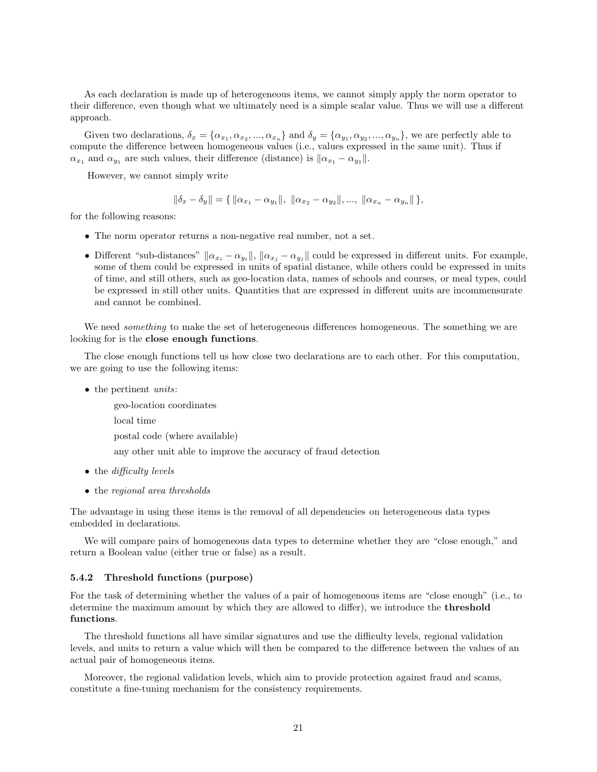As each declaration is made up of heterogeneous items, we cannot simply apply the norm operator to their difference, even though what we ultimately need is a simple scalar value. Thus we will use a different approach.

Given two declarations,  $\delta_x = {\alpha_{x_1}, \alpha_{x_2}, ..., \alpha_{x_n}}$  and  $\delta_y = {\alpha_{y_1}, \alpha_{y_2}, ..., \alpha_{y_n}}$ , we are perfectly able to compute the difference between homogeneous values (i.e., values expressed in the same unit). Thus if  $\alpha_{x_1}$  and  $\alpha_{y_1}$  are such values, their difference (distance) is  $\|\alpha_{x_1} - \alpha_{y_1}\|$ .

However, we cannot simply write

$$
\|\delta_x - \delta_y\| = \{ ||\alpha_{x_1} - \alpha_{y_1}||, ||\alpha_{x_2} - \alpha_{y_2}||, ..., ||\alpha_{x_n} - \alpha_{y_n}|| \},\
$$

for the following reasons:

- The norm operator returns a non-negative real number, not a set.
- Different "sub-distances"  $\|\alpha_{x_i} \alpha_{y_i}\|$ ,  $\|\alpha_{x_j} \alpha_{y_j}\|$  could be expressed in different units. For example, some of them could be expressed in units of spatial distance, while others could be expressed in units of time, and still others, such as geo-location data, names of schools and courses, or meal types, could be expressed in still other units. Quantities that are expressed in different units are incommensurate and cannot be combined.

We need *something* to make the set of heterogeneous differences homogeneous. The something we are looking for is the close enough functions.

The close enough functions tell us how close two declarations are to each other. For this computation, we are going to use the following items:

• the pertinent *units*:

geo-location coordinates local time postal code (where available) any other unit able to improve the accuracy of fraud detection

- the *difficulty levels*
- the regional area thresholds

The advantage in using these items is the removal of all dependencies on heterogeneous data types embedded in declarations.

We will compare pairs of homogeneous data types to determine whether they are "close enough," and return a Boolean value (either true or false) as a result.

#### 5.4.2 Threshold functions (purpose)

For the task of determining whether the values of a pair of homogeneous items are "close enough" (i.e., to determine the maximum amount by which they are allowed to differ), we introduce the threshold functions.

The threshold functions all have similar signatures and use the difficulty levels, regional validation levels, and units to return a value which will then be compared to the difference between the values of an actual pair of homogeneous items.

Moreover, the regional validation levels, which aim to provide protection against fraud and scams, constitute a fine-tuning mechanism for the consistency requirements.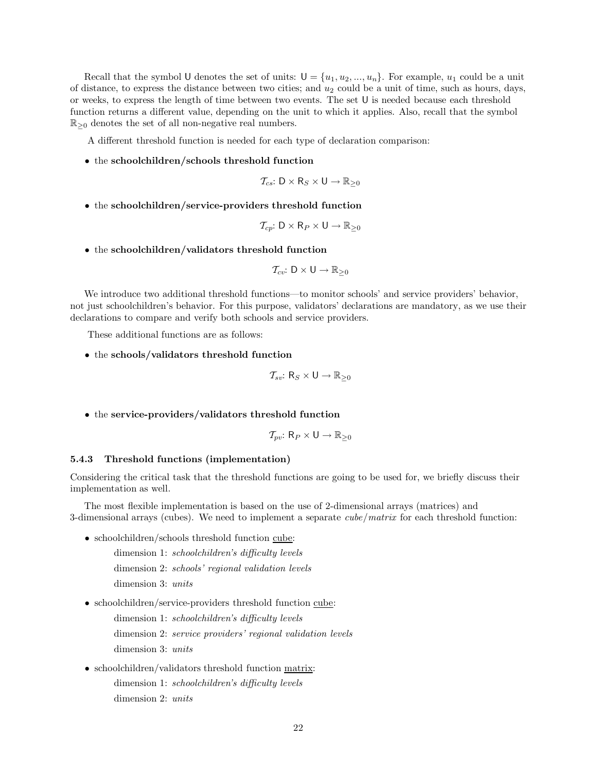Recall that the symbol U denotes the set of units:  $U = \{u_1, u_2, ..., u_n\}$ . For example,  $u_1$  could be a unit of distance, to express the distance between two cities; and  $u_2$  could be a unit of time, such as hours, days, or weeks, to express the length of time between two events. The set U is needed because each threshold function returns a different value, depending on the unit to which it applies. Also, recall that the symbol  $\mathbb{R}_{\geq 0}$  denotes the set of all non-negative real numbers.

A different threshold function is needed for each type of declaration comparison:

• the schoolchildren/schools threshold function

$$
\mathcal{T}_{cs}: D \times R_S \times U \to \mathbb{R}_{\geq 0}
$$

• the schoolchildren/service-providers threshold function

$$
\mathcal{T}_{cp}: D \times R_P \times U \to \mathbb{R}_{\geq 0}
$$

• the schoolchildren/validators threshold function

$$
\mathcal{T}_{cv}: D \times U \rightarrow \mathbb{R}_{\geq 0}
$$

We introduce two additional threshold functions—to monitor schools' and service providers' behavior, not just schoolchildren's behavior. For this purpose, validators' declarations are mandatory, as we use their declarations to compare and verify both schools and service providers.

These additional functions are as follows:

• the schools/validators threshold function

$$
\mathcal{T}_{sv}: R_S \times U \to \mathbb{R}_{\geq 0}
$$

• the service-providers/validators threshold function

$$
\mathcal{T}_{pv}: \mathsf{R}_P \times \mathsf{U} \rightarrow \mathbb{R}_{\geq 0}
$$

#### 5.4.3 Threshold functions (implementation)

Considering the critical task that the threshold functions are going to be used for, we briefly discuss their implementation as well.

The most flexible implementation is based on the use of 2-dimensional arrays (matrices) and 3-dimensional arrays (cubes). We need to implement a separate  $cube/matrix$  for each threshold function:

• schoolchildren/schools threshold function cube:

dimension 1: schoolchildren's difficulty levels dimension 2: schools' regional validation levels dimension 3: units

• schoolchildren/service-providers threshold function cube:

dimension 1: schoolchildren's difficulty levels dimension 2: service providers' regional validation levels dimension 3: units

• schoolchildren/validators threshold function matrix: dimension 1: schoolchildren's difficulty levels dimension 2: units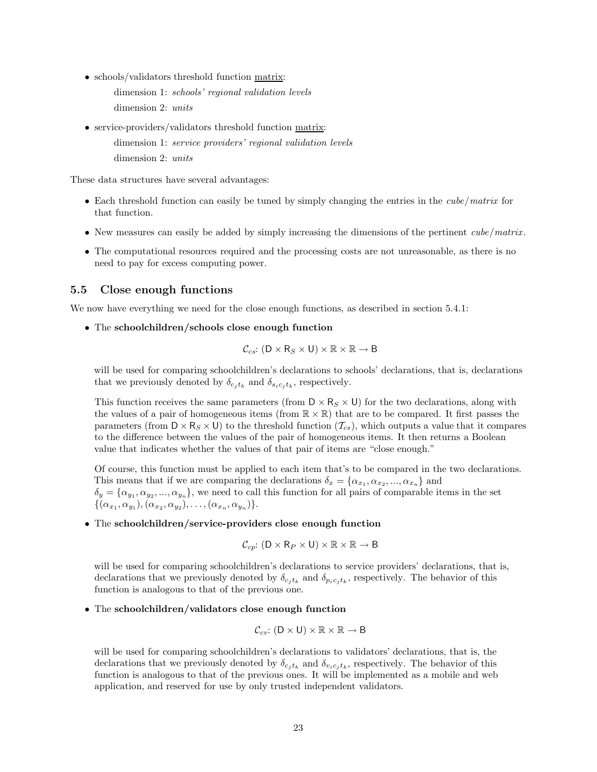- schools/validators threshold function matrix:
	- dimension 1: schools' regional validation levels dimension 2: units
- service-providers/validators threshold function matrix: dimension 1: service providers' regional validation levels dimension 2: units

These data structures have several advantages:

- Each threshold function can easily be tuned by simply changing the entries in the *cube*/matrix for that function.
- New measures can easily be added by simply increasing the dimensions of the pertinent *cube*/matrix.
- The computational resources required and the processing costs are not unreasonable, as there is no need to pay for excess computing power.

#### 5.5 Close enough functions

We now have everything we need for the close enough functions, as described in section 5.4.1:

• The schoolchildren/schools close enough function

$$
\mathcal{C}_{cs}: (D \times R_S \times U) \times \mathbb{R} \times \mathbb{R} \to B
$$

will be used for comparing schoolchildren's declarations to schools' declarations, that is, declarations that we previously denoted by  $\delta_{c_i t_k}$  and  $\delta_{s_i c_i t_k}$ , respectively.

This function receives the same parameters (from  $D \times R_S \times U$ ) for the two declarations, along with the values of a pair of homogeneous items (from  $\mathbb{R} \times \mathbb{R}$ ) that are to be compared. It first passes the parameters (from  $D \times R_S \times U$ ) to the threshold function  $(\mathcal{T}_{cs})$ , which outputs a value that it compares to the difference between the values of the pair of homogeneous items. It then returns a Boolean value that indicates whether the values of that pair of items are "close enough."

Of course, this function must be applied to each item that's to be compared in the two declarations. This means that if we are comparing the declarations  $\delta_x = {\alpha_{x_1}, \alpha_{x_2}, ..., \alpha_{x_n}}$  and  $\delta_y = {\alpha_{y_1}, \alpha_{y_2}, ..., \alpha_{y_n}}$ , we need to call this function for all pairs of comparable items in the set  $\{(\alpha_{x_1}, \alpha_{y_1}),(\alpha_{x_2}, \alpha_{y_2}),\ldots,(\alpha_{x_n}, \alpha_{y_n})\}.$ 

• The schoolchildren/service-providers close enough function

$$
\mathcal{C}_{cp}: (D \times R_P \times U) \times \mathbb{R} \times \mathbb{R} \to B
$$

will be used for comparing schoolchildren's declarations to service providers' declarations, that is, declarations that we previously denoted by  $\delta_{c_j t_k}$  and  $\delta_{p_i c_j t_k}$ , respectively. The behavior of this function is analogous to that of the previous one.

• The schoolchildren/validators close enough function

$$
\mathcal{C}_{cv}: (D \times U) \times \mathbb{R} \times \mathbb{R} \to B
$$

will be used for comparing schoolchildren's declarations to validators' declarations, that is, the declarations that we previously denoted by  $\delta_{c_j t_k}$  and  $\delta_{v_i c_j t_k}$ , respectively. The behavior of this function is analogous to that of the previous ones. It will be implemented as a mobile and web application, and reserved for use by only trusted independent validators.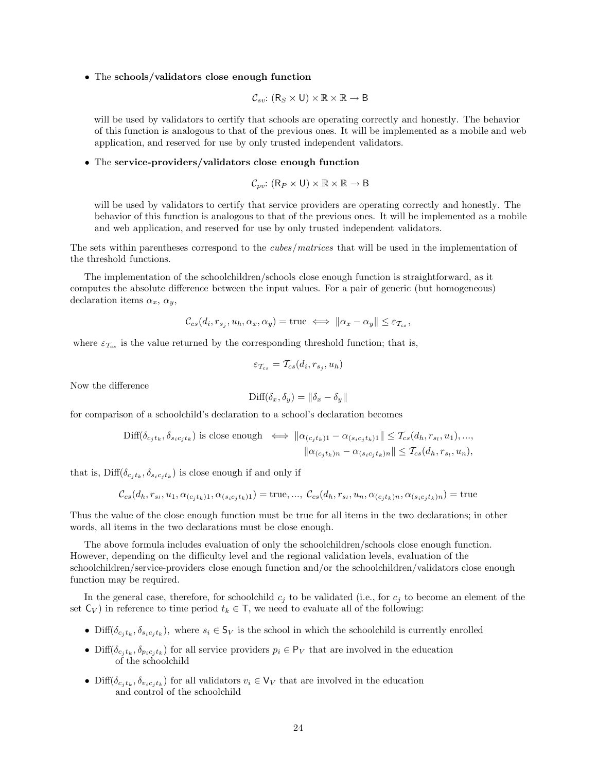• The schools/validators close enough function

$$
\mathcal{C}_{sv}: (R_S \times U) \times \mathbb{R} \times \mathbb{R} \to B
$$

will be used by validators to certify that schools are operating correctly and honestly. The behavior of this function is analogous to that of the previous ones. It will be implemented as a mobile and web application, and reserved for use by only trusted independent validators.

#### • The service-providers/validators close enough function

$$
\mathcal{C}_{pv}: (\mathsf{R}_P \times \mathsf{U}) \times \mathbb{R} \times \mathbb{R} \to \mathsf{B}
$$

will be used by validators to certify that service providers are operating correctly and honestly. The behavior of this function is analogous to that of the previous ones. It will be implemented as a mobile and web application, and reserved for use by only trusted independent validators.

The sets within parentheses correspond to the cubes/matrices that will be used in the implementation of the threshold functions.

The implementation of the schoolchildren/schools close enough function is straightforward, as it computes the absolute difference between the input values. For a pair of generic (but homogeneous) declaration items  $\alpha_x$ ,  $\alpha_y$ ,

$$
\mathcal{C}_{cs}(d_i, r_{s_i}, u_h, \alpha_x, \alpha_y) = \text{true} \iff ||\alpha_x - \alpha_y|| \leq \varepsilon_{\mathcal{T}_{cs}},
$$

where  $\varepsilon_{\mathcal{T}_{cs}}$  is the value returned by the corresponding threshold function; that is,

$$
\varepsilon_{\mathcal{T}_{cs}} = \mathcal{T}_{cs}(d_i, r_{s_j}, u_h)
$$

Now the difference

$$
\text{Diff}(\delta_x, \delta_y) = \|\delta_x - \delta_y\|
$$

for comparison of a schoolchild's declaration to a school's declaration becomes

$$
\text{Diff}(\delta_{c_jt_k}, \delta_{s_ic_jt_k}) \text{ is close enough} \iff \|\alpha_{(c_jt_k)1} - \alpha_{(s_ic_jt_k)1}\| \leq \mathcal{T}_{cs}(d_h, r_{s_l}, u_1), ...,
$$

$$
\|\alpha_{(c_jt_k)n} - \alpha_{(s_ic_jt_k)n}\| \leq \mathcal{T}_{cs}(d_h, r_{s_l}, u_n),
$$

that is,  $\text{Diff}(\delta_{c_ik}, \delta_{s_ic_ik})$  is close enough if and only if

$$
\mathcal{C}_{cs}(d_h, r_{s_l}, u_1, \alpha_{(c_j t_k)1}, \alpha_{(s_i c_j t_k)1}) = \text{true}, ..., \mathcal{C}_{cs}(d_h, r_{s_l}, u_h, \alpha_{(c_j t_k)1}, \alpha_{(s_i c_j t_k)2}) = \text{true}
$$

Thus the value of the close enough function must be true for all items in the two declarations; in other words, all items in the two declarations must be close enough.

The above formula includes evaluation of only the schoolchildren/schools close enough function. However, depending on the difficulty level and the regional validation levels, evaluation of the schoolchildren/service-providers close enough function and/or the schoolchildren/validators close enough function may be required.

In the general case, therefore, for schoolchild  $c_j$  to be validated (i.e., for  $c_j$  to become an element of the set  $C_V$ ) in reference to time period  $t_k \in T$ , we need to evaluate all of the following:

- Diff( $\delta_{c_i t_k}, \delta_{s_i c_i t_k}$ ), where  $s_i \in \mathsf{S}_V$  is the school in which the schoolchild is currently enrolled
- Diff( $\delta_{c_j t_k}, \delta_{p_i c_j t_k}$ ) for all service providers  $p_i \in \mathsf{P}_V$  that are involved in the education of the schoolchild
- Diff( $\delta_{c_j t_k}, \delta_{v_i c_j t_k}$ ) for all validators  $v_i \in V_V$  that are involved in the education and control of the schoolchild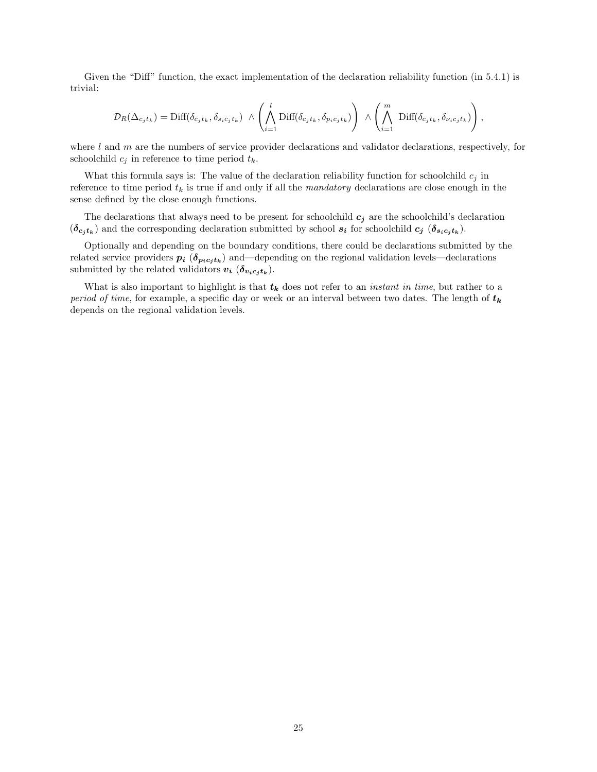Given the "Diff" function, the exact implementation of the declaration reliability function (in 5.4.1) is trivial:

$$
\mathcal{D}_R(\Delta_{c_jt_k}) = \text{Diff}(\delta_{c_jt_k}, \delta_{s_ic_jt_k}) \ \wedge \left(\bigwedge_{i=1}^l \text{Diff}(\delta_{c_jt_k}, \delta_{p_ic_jt_k})\right) \ \wedge \left(\bigwedge_{i=1}^m \ \text{Diff}(\delta_{c_jt_k}, \delta_{\nu_ic_jt_k})\right),
$$

where  $l$  and  $m$  are the numbers of service provider declarations and validator declarations, respectively, for schoolchild  $c_j$  in reference to time period  $t_k$ .

What this formula says is: The value of the declaration reliability function for schoolchild  $c_j$  in reference to time period  $t_k$  is true if and only if all the mandatory declarations are close enough in the sense defined by the close enough functions.

The declarations that always need to be present for schoolchild  $c_j$  are the schoolchild's declaration  $(\delta_{c_j t_k})$  and the corresponding declaration submitted by school  $s_i$  for schoolchild  $c_j$   $(\delta_{s_i c_j t_k})$ .

Optionally and depending on the boundary conditions, there could be declarations submitted by the related service providers  $p_i$  ( $\delta_{p_ic_jt_k}$ ) and—depending on the regional validation levels—declarations submitted by the related validators  $v_i$  ( $\delta_{v_ic_jt_k}$ ).

What is also important to highlight is that  $t_k$  does not refer to an *instant in time*, but rather to a period of time, for example, a specific day or week or an interval between two dates. The length of  $t_k$ depends on the regional validation levels.